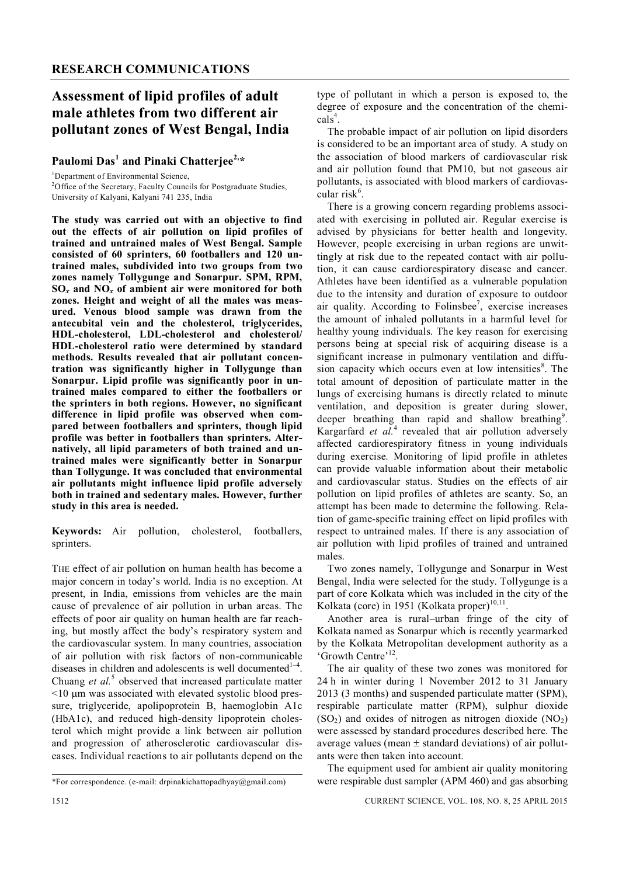## **Assessment of lipid profiles of adult male athletes from two different air pollutant zones of West Bengal, India**

### **Paulomi Das<sup>1</sup> and Pinaki Chatterjee2,\***

<sup>1</sup>Department of Environmental Science,

<sup>2</sup>Office of the Secretary, Faculty Councils for Postgraduate Studies, University of Kalyani, Kalyani 741 235, India

**The study was carried out with an objective to find out the effects of air pollution on lipid profiles of trained and untrained males of West Bengal. Sample consisted of 60 sprinters, 60 footballers and 120 untrained males, subdivided into two groups from two zones namely Tollygunge and Sonarpur. SPM, RPM, SO***x* **and NO***<sup>x</sup>* **of ambient air were monitored for both zones. Height and weight of all the males was measured. Venous blood sample was drawn from the antecubital vein and the cholesterol, triglycerides, HDL-cholesterol, LDL-cholesterol and cholesterol/ HDL-cholesterol ratio were determined by standard methods. Results revealed that air pollutant concentration was significantly higher in Tollygunge than Sonarpur. Lipid profile was significantly poor in untrained males compared to either the footballers or the sprinters in both regions. However, no significant difference in lipid profile was observed when compared between footballers and sprinters, though lipid profile was better in footballers than sprinters. Alternatively, all lipid parameters of both trained and untrained males were significantly better in Sonarpur than Tollygunge. It was concluded that environmental air pollutants might influence lipid profile adversely both in trained and sedentary males. However, further study in this area is needed.**

#### **Keywords:** Air pollution, cholesterol, footballers, sprinters.

THE effect of air pollution on human health has become a major concern in today's world. India is no exception. At present, in India, emissions from vehicles are the main cause of prevalence of air pollution in urban areas. The effects of poor air quality on human health are far reaching, but mostly affect the body's respiratory system and the cardiovascular system. In many countries, association of air pollution with risk factors of non-communicable diseases in children and adolescents is well documented $1-4$ . Chuang et al.<sup>5</sup> observed that increased particulate matter  $\leq$ 10  $\mu$ m was associated with elevated systolic blood pressure, triglyceride, apolipoprotein B, haemoglobin A1c (HbA1c), and reduced high-density lipoprotein cholesterol which might provide a link between air pollution and progression of atherosclerotic cardiovascular diseases. Individual reactions to air pollutants depend on the

1512 CURRENT SCIENCE, VOL. 108, NO. 8, 25 APRIL 2015

type of pollutant in which a person is exposed to, the degree of exposure and the concentration of the chemi- $\text{cals}^4$ .

The probable impact of air pollution on lipid disorders is considered to be an important area of study. A study on the association of blood markers of cardiovascular risk and air pollution found that PM10, but not gaseous air pollutants, is associated with blood markers of cardiovascular risk<sup>6</sup>.

There is a growing concern regarding problems associated with exercising in polluted air. Regular exercise is advised by physicians for better health and longevity. However, people exercising in urban regions are unwittingly at risk due to the repeated contact with air pollution, it can cause cardiorespiratory disease and cancer. Athletes have been identified as a vulnerable population due to the intensity and duration of exposure to outdoor air quality. According to Folinsbee<sup>7</sup>, exercise increases the amount of inhaled pollutants in a harmful level for healthy young individuals. The key reason for exercising persons being at special risk of acquiring disease is a significant increase in pulmonary ventilation and diffusion capacity which occurs even at low intensities<sup>8</sup>. The total amount of deposition of particulate matter in the lungs of exercising humans is directly related to minute ventilation, and deposition is greater during slower, deeper breathing than rapid and shallow breathing<sup>9</sup>. Kargarfard *et al.*<sup>4</sup> revealed that air pollution adversely affected cardiorespiratory fitness in young individuals during exercise. Monitoring of lipid profile in athletes can provide valuable information about their metabolic and cardiovascular status. Studies on the effects of air pollution on lipid profiles of athletes are scanty. So, an attempt has been made to determine the following. Relation of game-specific training effect on lipid profiles with respect to untrained males. If there is any association of air pollution with lipid profiles of trained and untrained males.

Two zones namely, Tollygunge and Sonarpur in West Bengal, India were selected for the study. Tollygunge is a part of core Kolkata which was included in the city of the Kolkata (core) in 1951 (Kolkata proper) $10,11$ .

Another area is rural–urban fringe of the city of Kolkata named as Sonarpur which is recently yearmarked by the Kolkata Metropolitan development authority as a 'Growth Centre'<sup>12</sup>.

The air quality of these two zones was monitored for 24 h in winter during 1 November 2012 to 31 January 2013 (3 months) and suspended particulate matter (SPM), respirable particulate matter (RPM), sulphur dioxide  $(SO<sub>2</sub>)$  and oxides of nitrogen as nitrogen dioxide  $(NO<sub>2</sub>)$ were assessed by standard procedures described here. The average values (mean  $\pm$  standard deviations) of air pollutants were then taken into account.

The equipment used for ambient air quality monitoring were respirable dust sampler (APM 460) and gas absorbing

<sup>\*</sup>For correspondence. (e-mail: drpinakichattopadhyay@gmail.com)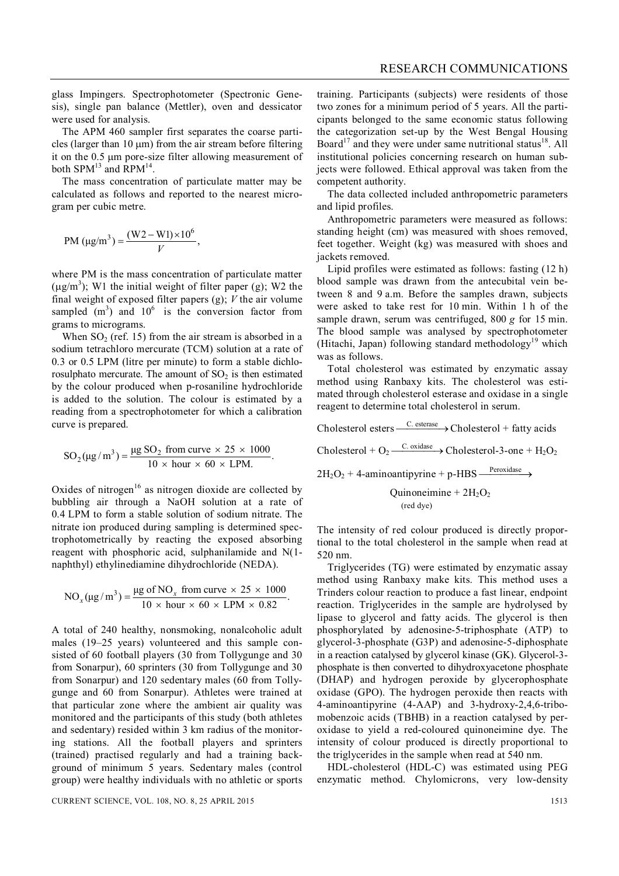glass Impingers. Spectrophotometer (Spectronic Genesis), single pan balance (Mettler), oven and dessicator were used for analysis.

The APM 460 sampler first separates the coarse particles (larger than  $10 \text{ µm}$ ) from the air stream before filtering it on the 0.5 um pore-size filter allowing measurement of both  $SPM^{13}$  and  $RPM^{14}$ .

The mass concentration of particulate matter may be calculated as follows and reported to the nearest microgram per cubic metre.

$$
PM (\mu g/m^3) = \frac{(W2 - W1) \times 10^6}{V},
$$

where PM is the mass concentration of particulate matter  $(\mu g/m^3)$ ; W1 the initial weight of filter paper (g); W2 the final weight of exposed filter papers (g); *V* the air volume sampled  $(m<sup>3</sup>)$  and  $10<sup>6</sup>$  is the conversion factor from grams to micrograms.

When  $SO<sub>2</sub>$  (ref. 15) from the air stream is absorbed in a sodium tetrachloro mercurate (TCM) solution at a rate of 0.3 or 0.5 LPM (litre per minute) to form a stable dichlorosulphato mercurate. The amount of  $SO<sub>2</sub>$  is then estimated by the colour produced when p-rosaniline hydrochloride is added to the solution. The colour is estimated by a reading from a spectrophotometer for which a calibration curve is prepared.

$$
SO_2(\mu g/m^3) = \frac{\mu g SO_2 \text{ from curve} \times 25 \times 1000}{10 \times \text{hour} \times 60 \times \text{LPM}}.
$$

Oxides of nitrogen<sup>16</sup> as nitrogen dioxide are collected by bubbling air through a NaOH solution at a rate of 0.4 LPM to form a stable solution of sodium nitrate. The nitrate ion produced during sampling is determined spectrophotometrically by reacting the exposed absorbing reagent with phosphoric acid, sulphanilamide and N(1 naphthyl) ethylinediamine dihydrochloride (NEDA).

$$
NO_x(\mu g/m^3) = \frac{\mu g \text{ of } NO_x \text{ from curve } \times 25 \times 1000}{10 \times \text{hour} \times 60 \times \text{LPM} \times 0.82}.
$$

A total of 240 healthy, nonsmoking, nonalcoholic adult males (19–25 years) volunteered and this sample consisted of 60 football players (30 from Tollygunge and 30 from Sonarpur), 60 sprinters (30 from Tollygunge and 30 from Sonarpur) and 120 sedentary males (60 from Tollygunge and 60 from Sonarpur). Athletes were trained at that particular zone where the ambient air quality was monitored and the participants of this study (both athletes and sedentary) resided within 3 km radius of the monitoring stations. All the football players and sprinters (trained) practised regularly and had a training background of minimum 5 years. Sedentary males (control group) were healthy individuals with no athletic or sports

training. Participants (subjects) were residents of those two zones for a minimum period of 5 years. All the participants belonged to the same economic status following the categorization set-up by the West Bengal Housing Board<sup>17</sup> and they were under same nutritional status<sup>18</sup>. All institutional policies concerning research on human subjects were followed. Ethical approval was taken from the competent authority.

The data collected included anthropometric parameters and lipid profiles.

Anthropometric parameters were measured as follows: standing height (cm) was measured with shoes removed, feet together. Weight (kg) was measured with shoes and jackets removed.

Lipid profiles were estimated as follows: fasting (12 h) blood sample was drawn from the antecubital vein between 8 and 9 a.m. Before the samples drawn, subjects were asked to take rest for 10 min. Within 1 h of the sample drawn, serum was centrifuged, 800 *g* for 15 min. The blood sample was analysed by spectrophotometer (Hitachi, Japan) following standard methodology<sup>19</sup> which was as follows.

Total cholesterol was estimated by enzymatic assay method using Ranbaxy kits. The cholesterol was estimated through cholesterol esterase and oxidase in a single reagent to determine total cholesterol in serum.

Cholesterol esters  $\xrightarrow{C. \text{ esterase}}$  Cholesterol + fatty acids

Cholesterol +  $O_2 \xrightarrow{C.\text{ oxidase}}$  Cholesterol-3-one +  $H_2O_2$ 

 $2H_2O_2 + 4$ -aminoantipyrine + p-HBS  $\frac{\text{Peroxidase}}{}$ 

Quinoneimine +  $2H_2O_2$ (red dye)

The intensity of red colour produced is directly proportional to the total cholesterol in the sample when read at 520 nm.

Triglycerides (TG) were estimated by enzymatic assay method using Ranbaxy make kits. This method uses a Trinders colour reaction to produce a fast linear, endpoint reaction. Triglycerides in the sample are hydrolysed by lipase to glycerol and fatty acids. The glycerol is then phosphorylated by adenosine-5-triphosphate (ATP) to glycerol-3-phosphate (G3P) and adenosine-5-diphosphate in a reaction catalysed by glycerol kinase (GK). Glycerol-3 phosphate is then converted to dihydroxyacetone phosphate (DHAP) and hydrogen peroxide by glycerophosphate oxidase (GPO). The hydrogen peroxide then reacts with 4-aminoantipyrine (4-AAP) and 3-hydroxy-2,4,6-tribomobenzoic acids (TBHB) in a reaction catalysed by peroxidase to yield a red-coloured quinoneimine dye. The intensity of colour produced is directly proportional to the triglycerides in the sample when read at 540 nm.

HDL-cholesterol (HDL-C) was estimated using PEG enzymatic method. Chylomicrons, very low-density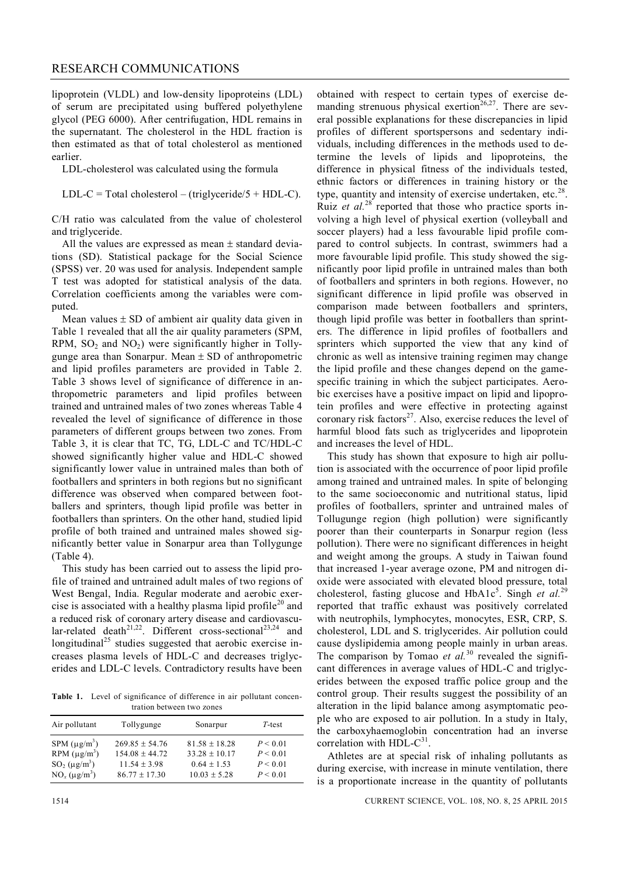#### RESEARCH COMMUNICATIONS

lipoprotein (VLDL) and low-density lipoproteins (LDL) of serum are precipitated using buffered polyethylene glycol (PEG 6000). After centrifugation, HDL remains in the supernatant. The cholesterol in the HDL fraction is then estimated as that of total cholesterol as mentioned earlier.

LDL-cholesterol was calculated using the formula

LDL-C = Total cholesterol – (triglyceride/ $5 + HDL-C$ ).

C/H ratio was calculated from the value of cholesterol and triglyceride.

All the values are expressed as mean  $\pm$  standard deviations (SD). Statistical package for the Social Science (SPSS) ver. 20 was used for analysis. Independent sample T test was adopted for statistical analysis of the data. Correlation coefficients among the variables were computed.

Mean values  $\pm$  SD of ambient air quality data given in Table 1 revealed that all the air quality parameters (SPM, RPM,  $SO_2$  and  $NO_2$ ) were significantly higher in Tollygunge area than Sonarpur. Mean  $\pm$  SD of anthropometric and lipid profiles parameters are provided in Table 2. Table 3 shows level of significance of difference in anthropometric parameters and lipid profiles between trained and untrained males of two zones whereas Table 4 revealed the level of significance of difference in those parameters of different groups between two zones. From Table 3, it is clear that TC, TG, LDL-C and TC/HDL-C showed significantly higher value and HDL-C showed significantly lower value in untrained males than both of footballers and sprinters in both regions but no significant difference was observed when compared between footballers and sprinters, though lipid profile was better in footballers than sprinters. On the other hand, studied lipid profile of both trained and untrained males showed significantly better value in Sonarpur area than Tollygunge (Table 4).

This study has been carried out to assess the lipid profile of trained and untrained adult males of two regions of West Bengal, India. Regular moderate and aerobic exercise is associated with a healthy plasma lipid profile<sup>20</sup> and a reduced risk of coronary artery disease and cardiovascular-related death<sup>21,22</sup>. Different cross-sectional<sup>23,24</sup> and longitudinal<sup>25</sup> studies suggested that aerobic exercise increases plasma levels of HDL-C and decreases triglycerides and LDL-C levels. Contradictory results have been

**Table 1.** Level of significance of difference in air pollutant concentration between two zones

| Air pollutant                                                                                     | Tollygunge                                                                  | Sonarpur                                                              | $T$ -test                                    |  |
|---------------------------------------------------------------------------------------------------|-----------------------------------------------------------------------------|-----------------------------------------------------------------------|----------------------------------------------|--|
| SPM $(\mu g/m^3)$<br>RPM $(\mu g/m^3)$<br>$SO_2$ ( $\mu$ g/m <sup>3</sup> )<br>$NO_x (\mu g/m^3)$ | $269.85 + 54.76$<br>$154.08 + 44.72$<br>$11.54 + 3.98$<br>$86.77 \pm 17.30$ | $81.58 + 18.28$<br>$33.28 + 10.17$<br>$0.64 + 1.53$<br>$10.03 + 5.28$ | P < 0.01<br>P < 0.01<br>P < 0.01<br>P < 0.01 |  |

obtained with respect to certain types of exercise demanding strenuous physical exertion<sup>26,27</sup>. There are several possible explanations for these discrepancies in lipid profiles of different sportspersons and sedentary individuals, including differences in the methods used to determine the levels of lipids and lipoproteins, the difference in physical fitness of the individuals tested, ethnic factors or differences in training history or the type, quantity and intensity of exercise undertaken, etc. $28$ . Ruiz *et al.*<sup>28</sup> reported that those who practice sports involving a high level of physical exertion (volleyball and soccer players) had a less favourable lipid profile compared to control subjects. In contrast, swimmers had a more favourable lipid profile. This study showed the significantly poor lipid profile in untrained males than both of footballers and sprinters in both regions. However, no significant difference in lipid profile was observed in comparison made between footballers and sprinters, though lipid profile was better in footballers than sprinters. The difference in lipid profiles of footballers and sprinters which supported the view that any kind of chronic as well as intensive training regimen may change the lipid profile and these changes depend on the gamespecific training in which the subject participates. Aerobic exercises have a positive impact on lipid and lipoprotein profiles and were effective in protecting against coronary risk factors $27$ . Also, exercise reduces the level of harmful blood fats such as triglycerides and lipoprotein

This study has shown that exposure to high air pollution is associated with the occurrence of poor lipid profile among trained and untrained males. In spite of belonging to the same socioeconomic and nutritional status, lipid profiles of footballers, sprinter and untrained males of Tollugunge region (high pollution) were significantly poorer than their counterparts in Sonarpur region (less pollution). There were no significant differences in height and weight among the groups. A study in Taiwan found that increased 1-year average ozone, PM and nitrogen dioxide were associated with elevated blood pressure, total cholesterol, fasting glucose and HbA1c<sup>5</sup>. Singh *et al.*<sup>29</sup> reported that traffic exhaust was positively correlated with neutrophils, lymphocytes, monocytes, ESR, CRP, S. cholesterol, LDL and S. triglycerides. Air pollution could cause dyslipidemia among people mainly in urban areas. The comparison by Tomao *et al.*<sup>30</sup> revealed the significant differences in average values of HDL-C and triglycerides between the exposed traffic police group and the control group. Their results suggest the possibility of an alteration in the lipid balance among asymptomatic people who are exposed to air pollution. In a study in Italy, the carboxyhaemoglobin concentration had an inverse correlation with HDL-C<sup>31</sup> .

and increases the level of HDL.

Athletes are at special risk of inhaling pollutants as during exercise, with increase in minute ventilation, there is a proportionate increase in the quantity of pollutants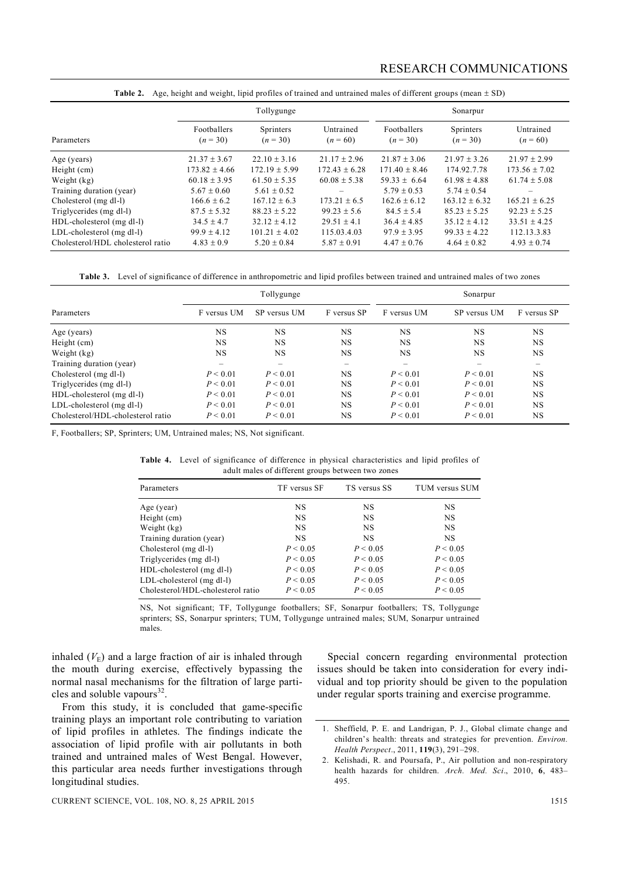|                                   |                           | Tollygunge              |                         | Sonarpur                  |                         |                         |
|-----------------------------------|---------------------------|-------------------------|-------------------------|---------------------------|-------------------------|-------------------------|
| Parameters                        | Footballers<br>$(n = 30)$ | Sprinters<br>$(n = 30)$ | Untrained<br>$(n = 60)$ | Footballers<br>$(n = 30)$ | Sprinters<br>$(n = 30)$ | Untrained<br>$(n = 60)$ |
| Age (years)                       | $21.37 \pm 3.67$          | $22.10 + 3.16$          | $21.17 + 2.96$          | $21.87 + 3.06$            | $21.97 + 3.26$          | $21.97 \pm 2.99$        |
| Height (cm)                       | $173.82 \pm 4.66$         | $172.19 \pm 5.99$       | $172.43 \pm 6.28$       | $171.40 \pm 8.46$         | 174.92.7.78             | $173.56 \pm 7.02$       |
| Weight (kg)                       | $60.18 \pm 3.95$          | $61.50 + 5.35$          | $60.08 \pm 5.38$        | $59.33 \pm 6.64$          | $61.98 + 4.88$          | $61.74 \pm 5.08$        |
| Training duration (year)          | $5.67 + 0.60$             | $5.61 + 0.52$           |                         | $5.79 + 0.53$             | $5.74 + 0.54$           | -                       |
| Cholesterol (mg dl-l)             | $166.6 \pm 6.2$           | $167.12 \pm 6.3$        | $173.21 \pm 6.5$        | $162.6 \pm 6.12$          | $163.12 + 6.32$         | $165.21 \pm 6.25$       |
| Triglycerides (mg dl-l)           | $87.5 \pm 5.32$           | $88.23 + 5.22$          | $99.23 \pm 5.6$         | $84.5 + 5.4$              | $85.23 + 5.25$          | $92.23 + 5.25$          |
| HDL-cholesterol (mg dl-l)         | $34.5 + 4.7$              | $32.12 + 4.12$          | $29.51 + 4.1$           | $36.4 + 4.85$             | $35.12 + 4.12$          | $33.51 + 4.25$          |
| LDL-cholesterol (mg dl-l)         | $99.9 \pm 4.12$           | $101.21 \pm 4.02$       | 115.03.4.03             | $97.9 \pm 3.95$           | $99.33 \pm 4.22$        | 112.13.3.83             |
| Cholesterol/HDL cholesterol ratio | $4.83 \pm 0.9$            | $5.20 \pm 0.84$         | $5.87 \pm 0.91$         | $4.47 \pm 0.76$           | $4.64 \pm 0.82$         | $4.93 \pm 0.74$         |

**Table 2.** Age, height and weight, lipid profiles of trained and untrained males of different groups (mean  $\pm$  SD)

**Table 3.** Level of significance of difference in anthropometric and lipid profiles between trained and untrained males of two zones

|                                   |                          | Tollygunge   |             | Sonarpur    |              |             |  |
|-----------------------------------|--------------------------|--------------|-------------|-------------|--------------|-------------|--|
| Parameters                        | F versus UM              | SP versus UM | F versus SP | F versus UM | SP versus UM | F versus SP |  |
| Age (years)                       | <b>NS</b>                | <b>NS</b>    | <b>NS</b>   | <b>NS</b>   | <b>NS</b>    | <b>NS</b>   |  |
| Height (cm)                       | <b>NS</b>                | <b>NS</b>    | <b>NS</b>   | <b>NS</b>   | <b>NS</b>    | <b>NS</b>   |  |
| Weight (kg)                       | <b>NS</b>                | <b>NS</b>    | <b>NS</b>   | <b>NS</b>   | <b>NS</b>    | <b>NS</b>   |  |
| Training duration (year)          | $\overline{\phantom{0}}$ |              |             |             | -            | -           |  |
| Cholesterol (mg dl-l)             | P < 0.01                 | P < 0.01     | <b>NS</b>   | P < 0.01    | P < 0.01     | <b>NS</b>   |  |
| Triglycerides (mg dl-l)           | P < 0.01                 | P < 0.01     | <b>NS</b>   | P < 0.01    | P < 0.01     | <b>NS</b>   |  |
| HDL-cholesterol (mg dl-l)         | P < 0.01                 | P < 0.01     | <b>NS</b>   | P < 0.01    | P < 0.01     | <b>NS</b>   |  |
| LDL-cholesterol (mg dl-l)         | P < 0.01                 | P < 0.01     | <b>NS</b>   | P < 0.01    | P < 0.01     | <b>NS</b>   |  |
| Cholesterol/HDL-cholesterol ratio | P < 0.01                 | P < 0.01     | <b>NS</b>   | P < 0.01    | P < 0.01     | <b>NS</b>   |  |

F, Footballers; SP, Sprinters; UM, Untrained males; NS, Not significant.

|  |  |  | <b>Table 4.</b> Level of significance of difference in physical characteristics and lipid profiles of |  |  |
|--|--|--|-------------------------------------------------------------------------------------------------------|--|--|
|  |  |  | adult males of different groups between two zones                                                     |  |  |

| Parameters                        | TF versus SF | TS versus SS | TUM versus SUM |
|-----------------------------------|--------------|--------------|----------------|
| Age (year)                        | <b>NS</b>    | <b>NS</b>    | NS             |
| Height (cm)                       | <b>NS</b>    | <b>NS</b>    | <b>NS</b>      |
| Weight $(kg)$                     | <b>NS</b>    | <b>NS</b>    | NS             |
| Training duration (year)          | <b>NS</b>    | <b>NS</b>    | <b>NS</b>      |
| Cholesterol (mg dl-l)             | P < 0.05     | P < 0.05     | P < 0.05       |
| Triglycerides (mg dl-l)           | P < 0.05     | P < 0.05     | P < 0.05       |
| HDL-cholesterol (mg dl-l)         | P < 0.05     | P < 0.05     | P < 0.05       |
| LDL-cholesterol (mg dl-l)         | P < 0.05     | P < 0.05     | P < 0.05       |
| Cholesterol/HDL-cholesterol ratio | P < 0.05     | P < 0.05     | P < 0.05       |

NS, Not significant; TF, Tollygunge footballers; SF, Sonarpur footballers; TS, Tollygunge sprinters; SS, Sonarpur sprinters; TUM, Tollygunge untrained males; SUM, Sonarpur untrained males.

inhaled  $(V<sub>E</sub>)$  and a large fraction of air is inhaled through the mouth during exercise, effectively bypassing the normal nasal mechanisms for the filtration of large particles and soluble vapours<sup>32</sup>.

From this study, it is concluded that game-specific training plays an important role contributing to variation of lipid profiles in athletes. The findings indicate the association of lipid profile with air pollutants in both trained and untrained males of West Bengal. However, this particular area needs further investigations through longitudinal studies.

Special concern regarding environmental protection issues should be taken into consideration for every individual and top priority should be given to the population under regular sports training and exercise programme.

<sup>1.</sup> Sheffield, P. E. and Landrigan, P. J., Global climate change and children's health: threats and strategies for prevention. *Environ. Health Perspect*., 2011, **119**(3), 291–298.

<sup>2.</sup> Kelishadi, R. and Poursafa, P., Air pollution and non-respiratory health hazards for children. *Arch. Med. Sci*., 2010, **6**, 483– 495.